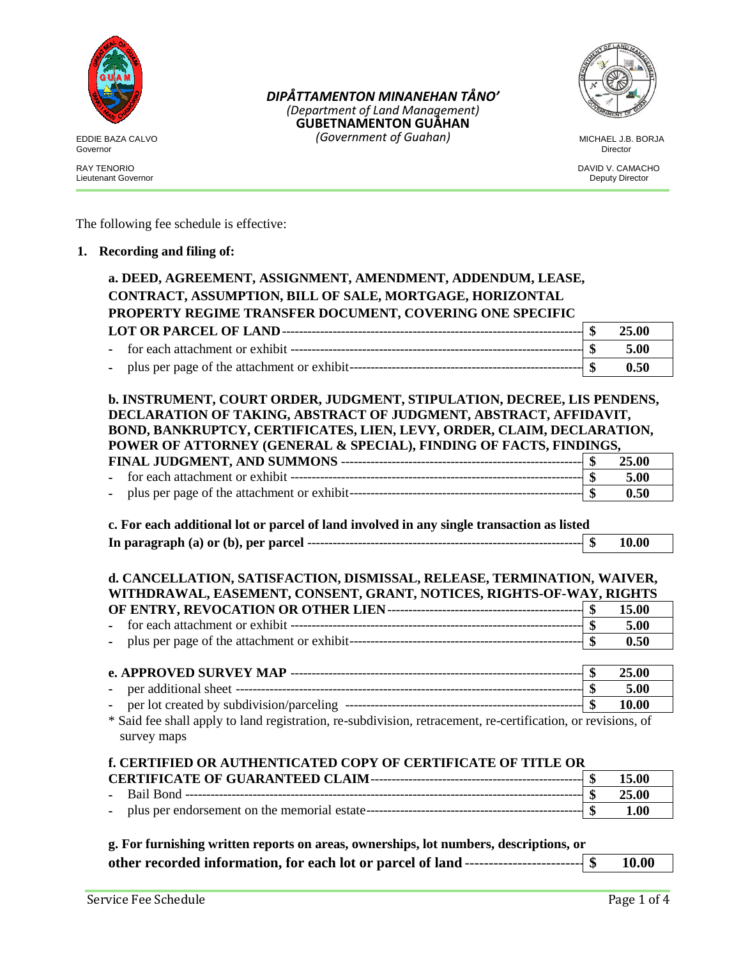

Governor Director

Lieutenant Governor

EDDIE BAZA CALVO MICHAEL J.B. BORJA *(Government of Guahan)DIPÅTTAMENTON MINANEHAN TÅNO' (Department of Land Management)* **GUBETNAMENTON GUÅHAN**



RAY TENORIO DAVID V. CAMACHO DAVID V. CAMACHO DE ENTRE ENTRE ENTRE ENTRE ENTRE ENTRE ENTRE ENTRE ENTRE ENTRE E<br>Deputy Director Deputy Director

The following fee schedule is effective:

### **1. Recording and filing of:**

| a. DEED, AGREEMENT, ASSIGNMENT, AMENDMENT, ADDENDUM, LEASE,                                                                                                                                                                                                                                  |                           |               |
|----------------------------------------------------------------------------------------------------------------------------------------------------------------------------------------------------------------------------------------------------------------------------------------------|---------------------------|---------------|
| CONTRACT, ASSUMPTION, BILL OF SALE, MORTGAGE, HORIZONTAL                                                                                                                                                                                                                                     |                           |               |
| PROPERTY REGIME TRANSFER DOCUMENT, COVERING ONE SPECIFIC                                                                                                                                                                                                                                     |                           |               |
|                                                                                                                                                                                                                                                                                              | $\mathbf{\$}$             | 25.00         |
|                                                                                                                                                                                                                                                                                              |                           | 5.00          |
|                                                                                                                                                                                                                                                                                              | $\mathbf{\$}$             | 0.50          |
| b. INSTRUMENT, COURT ORDER, JUDGMENT, STIPULATION, DECREE, LIS PENDENS,<br>DECLARATION OF TAKING, ABSTRACT OF JUDGMENT, ABSTRACT, AFFIDAVIT,<br>BOND, BANKRUPTCY, CERTIFICATES, LIEN, LEVY, ORDER, CLAIM, DECLARATION,<br>POWER OF ATTORNEY (GENERAL & SPECIAL), FINDING OF FACTS, FINDINGS, |                           |               |
|                                                                                                                                                                                                                                                                                              |                           | 25.00         |
|                                                                                                                                                                                                                                                                                              |                           | 5.00          |
|                                                                                                                                                                                                                                                                                              |                           | 0.50          |
| c. For each additional lot or parcel of land involved in any single transaction as listed                                                                                                                                                                                                    |                           | 10.00         |
| d. CANCELLATION, SATISFACTION, DISMISSAL, RELEASE, TERMINATION, WAIVER,                                                                                                                                                                                                                      |                           |               |
| WITHDRAWAL, EASEMENT, CONSENT, GRANT, NOTICES, RIGHTS-OF-WAY, RIGHTS                                                                                                                                                                                                                         |                           |               |
|                                                                                                                                                                                                                                                                                              |                           | 15.00         |
|                                                                                                                                                                                                                                                                                              |                           | 5.00<br>0.50  |
|                                                                                                                                                                                                                                                                                              |                           |               |
|                                                                                                                                                                                                                                                                                              |                           | 25.00<br>5.00 |
|                                                                                                                                                                                                                                                                                              |                           | 10.00         |
| * Said fee shall apply to land registration, re-subdivision, retracement, re-certification, or revisions, of<br>survey maps                                                                                                                                                                  |                           |               |
| f. CERTIFIED OR AUTHENTICATED COPY OF CERTIFICATE OF TITLE OR                                                                                                                                                                                                                                |                           |               |
|                                                                                                                                                                                                                                                                                              |                           | 15.00         |
|                                                                                                                                                                                                                                                                                              | $\boldsymbol{\mathsf{s}}$ | 25.00<br>1.00 |

| g. For furnishing written reports on areas, ownerships, lot numbers, descriptions, or      |       |
|--------------------------------------------------------------------------------------------|-------|
| other recorded information, for each lot or parcel of land ---------------------------- \$ | 10.00 |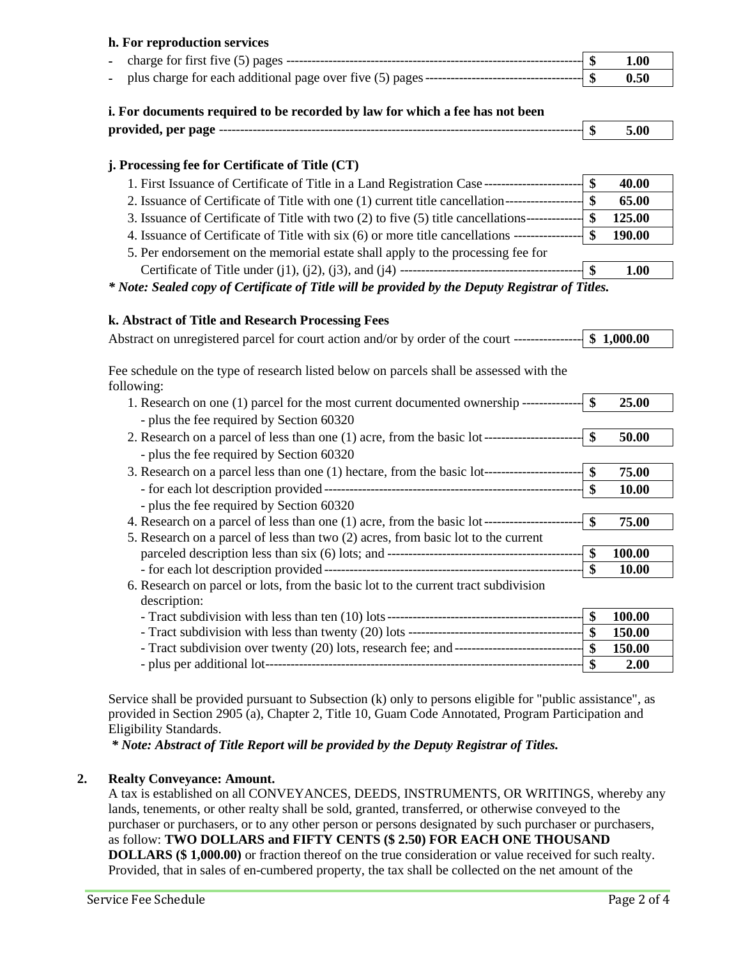## **h. For reproduction services**

|  | ъ | 1.00 |
|--|---|------|
|  |   | 0.50 |

# **i. For documents required to be recorded by law for which a fee has not been**

| provided, per page |  | ٠п |  |
|--------------------|--|----|--|
|                    |  |    |  |

# **j. Processing fee for Certificate of Title (CT)**

| 1. First Issuance of Certificate of Title in a Land Registration Case ---                  |   | 40.00  |
|--------------------------------------------------------------------------------------------|---|--------|
| 2. Issuance of Certificate of Title with one (1) current title cancellation-               |   | 65.00  |
| 3. Issuance of Certificate of Title with two (2) to five (5) title cancellations---        | œ | 125.00 |
| 4. Issuance of Certificate of Title with six (6) or more title cancellations ------------- | ¢ | 190.00 |
| 5. Per endorsement on the memorial estate shall apply to the processing fee for            |   |        |
|                                                                                            |   | 1.00   |

*\* Note: Sealed copy of Certificate of Title will be provided by the Deputy Registrar of Titles.*

## **k. Abstract of Title and Research Processing Fees**

| Abstract on unregistered parcel for court action and/or by order of the court ----------------  \$ 1,000.00                                         |               |        |
|-----------------------------------------------------------------------------------------------------------------------------------------------------|---------------|--------|
| Fee schedule on the type of research listed below on parcels shall be assessed with the<br>following:                                               |               |        |
| 1. Research on one (1) parcel for the most current documented ownership --------------- \\$<br>- plus the fee required by Section 60320             |               | 25.00  |
| 2. Research on a parcel of less than one (1) acre, from the basic lot --------------------------- $\$\$<br>- plus the fee required by Section 60320 |               | 50.00  |
| 3. Research on a parcel less than one (1) hectare, from the basic lot------------------------ $\$\$                                                 |               | 75.00  |
| - plus the fee required by Section 60320                                                                                                            |               | 10.00  |
|                                                                                                                                                     | - IS          | 75.00  |
| 5. Research on a parcel of less than two (2) acres, from basic lot to the current                                                                   | $\mathbf{s}$  | 100.00 |
| 6. Research on parcel or lots, from the basic lot to the current tract subdivision<br>description:                                                  |               | 10.00  |
|                                                                                                                                                     | $\mathbf{\$}$ | 100.00 |
|                                                                                                                                                     |               | 150.00 |
|                                                                                                                                                     |               | 150.00 |
|                                                                                                                                                     |               | 2.00   |

Service shall be provided pursuant to Subsection (k) only to persons eligible for "public assistance", as provided in Section 2905 (a), Chapter 2, Title 10, Guam Code Annotated, Program Participation and Eligibility Standards.

*\* Note: Abstract of Title Report will be provided by the Deputy Registrar of Titles.*

# **2. Realty Conveyance: Amount.**

A tax is established on all CONVEYANCES, DEEDS, INSTRUMENTS, OR WRITINGS, whereby any lands, tenements, or other realty shall be sold, granted, transferred, or otherwise conveyed to the purchaser or purchasers, or to any other person or persons designated by such purchaser or purchasers, as follow: **TWO DOLLARS and FIFTY CENTS (\$ 2.50) FOR EACH ONE THOUSAND DOLLARS (\$ 1,000.00)** or fraction thereof on the true consideration or value received for such realty. Provided, that in sales of en-cumbered property, the tax shall be collected on the net amount of the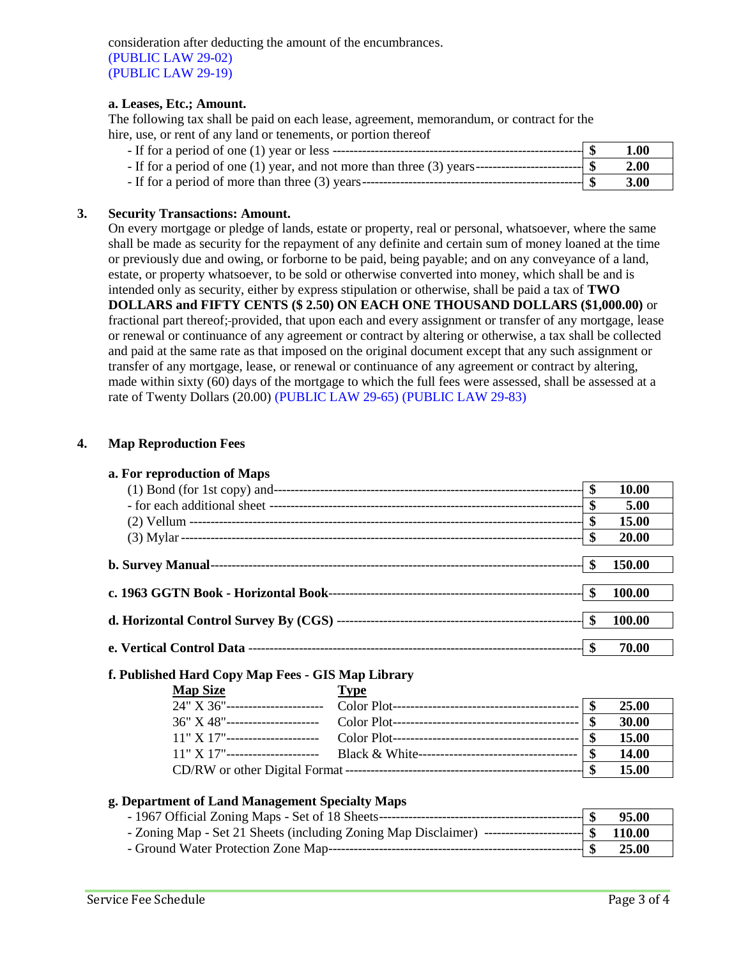consideration after deducting the amount of the encumbrances. (PUBLIC LAW 29-02) (PUBLIC LAW 29-19)

#### **a. Leases, Etc.; Amount.**

The following tax shall be paid on each lease, agreement, memorandum, or contract for the hire, use, or rent of any land or tenements, or portion thereof

|                                                                                                           | 1.00 |
|-----------------------------------------------------------------------------------------------------------|------|
| - If for a period of one (1) year, and not more than three (3) years------------------------------- $\$\$ | 2.00 |
|                                                                                                           | 3.00 |

#### **3. Security Transactions: Amount.**

On every mortgage or pledge of lands, estate or property, real or personal, whatsoever, where the same shall be made as security for the repayment of any definite and certain sum of money loaned at the time or previously due and owing, or forborne to be paid, being payable; and on any conveyance of a land, estate, or property whatsoever, to be sold or otherwise converted into money, which shall be and is intended only as security, either by express stipulation or otherwise, shall be paid a tax of **TWO DOLLARS and FIFTY CENTS (\$ 2.50) ON EACH ONE THOUSAND DOLLARS (\$1,000.00)** or fractional part thereof; provided, that upon each and every assignment or transfer of any mortgage, lease or renewal or continuance of any agreement or contract by altering or otherwise, a tax shall be collected and paid at the same rate as that imposed on the original document except that any such assignment or transfer of any mortgage, lease, or renewal or continuance of any agreement or contract by altering, made within sixty (60) days of the mortgage to which the full fees were assessed, shall be assessed at a rate of Twenty Dollars (20.00) (PUBLIC LAW 29-65) (PUBLIC LAW 29-83)

#### **4. Map Reproduction Fees**

| a. For reproduction of Maps |     |              |
|-----------------------------|-----|--------------|
|                             | \$  | 10.00        |
|                             | \$  | 5.00         |
|                             | \$  | <b>15.00</b> |
|                             | \$  | <b>20.00</b> |
|                             |     |              |
|                             | -S  | 150.00       |
|                             |     |              |
|                             |     | 100.00       |
|                             |     |              |
|                             | -\$ | 100.00       |
|                             |     |              |
|                             |     | 70.00        |
|                             |     |              |

### **f. Published Hard Copy Map Fees - GIS Map Library**

| <b>Map Size</b> | <b>Type</b>                                                                      |              |
|-----------------|----------------------------------------------------------------------------------|--------------|
|                 |                                                                                  | 25.00        |
|                 |                                                                                  | 30.00        |
|                 |                                                                                  | 15.00        |
|                 | 11" X 17"---------------------- Black & White----------------------------------- | 14.00        |
|                 |                                                                                  | <b>15.00</b> |

### **g. Department of Land Management Specialty Maps**

|                                                                                                    | 95.00   |
|----------------------------------------------------------------------------------------------------|---------|
| - Zoning Map - Set 21 Sheets (including Zoning Map Disclaimer) ------------------------- \$ 110.00 |         |
|                                                                                                    | - 25.00 |